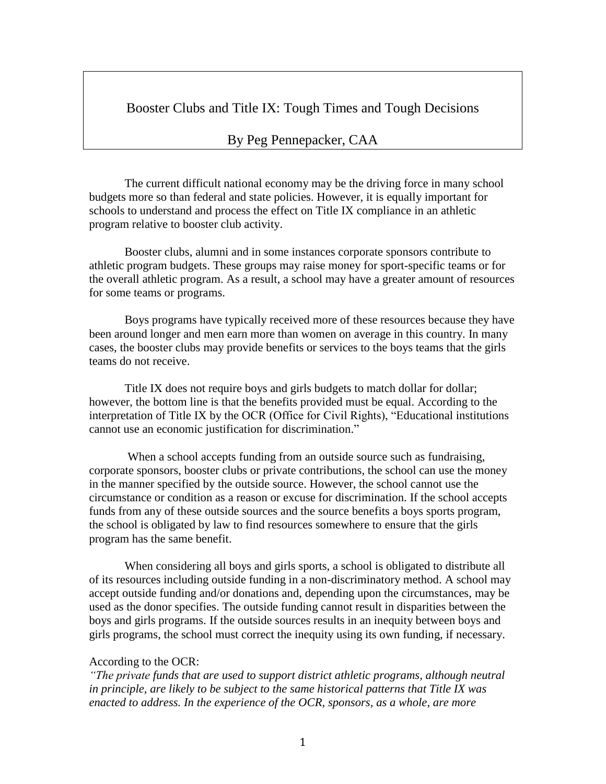Booster Clubs and Title IX: Tough Times and Tough Decisions

## By Peg Pennepacker, CAA

The current difficult national economy may be the driving force in many school budgets more so than federal and state policies. However, it is equally important for schools to understand and process the effect on Title IX compliance in an athletic program relative to booster club activity.

Booster clubs, alumni and in some instances corporate sponsors contribute to athletic program budgets. These groups may raise money for sport-specific teams or for the overall athletic program. As a result, a school may have a greater amount of resources for some teams or programs.

Boys programs have typically received more of these resources because they have been around longer and men earn more than women on average in this country. In many cases, the booster clubs may provide benefits or services to the boys teams that the girls teams do not receive.

Title IX does not require boys and girls budgets to match dollar for dollar; however, the bottom line is that the benefits provided must be equal. According to the interpretation of Title IX by the OCR (Office for Civil Rights), "Educational institutions cannot use an economic justification for discrimination."

When a school accepts funding from an outside source such as fundraising, corporate sponsors, booster clubs or private contributions, the school can use the money in the manner specified by the outside source. However, the school cannot use the circumstance or condition as a reason or excuse for discrimination. If the school accepts funds from any of these outside sources and the source benefits a boys sports program, the school is obligated by law to find resources somewhere to ensure that the girls program has the same benefit.

When considering all boys and girls sports, a school is obligated to distribute all of its resources including outside funding in a non-discriminatory method. A school may accept outside funding and/or donations and, depending upon the circumstances, may be used as the donor specifies. The outside funding cannot result in disparities between the boys and girls programs. If the outside sources results in an inequity between boys and girls programs, the school must correct the inequity using its own funding, if necessary.

## According to the OCR:

*"The private funds that are used to support district athletic programs, although neutral in principle, are likely to be subject to the same historical patterns that Title IX was enacted to address. In the experience of the OCR, sponsors, as a whole, are more*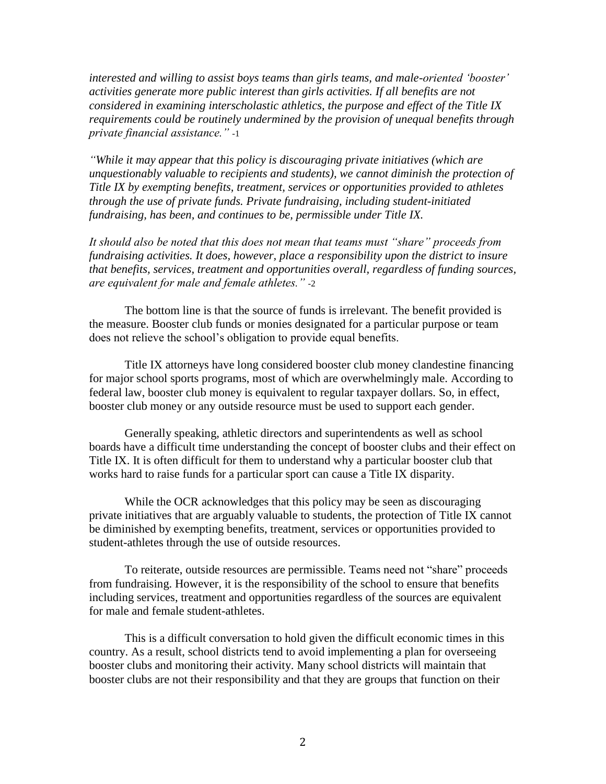*interested and willing to assist boys teams than girls teams, and male-oriented "booster" activities generate more public interest than girls activities. If all benefits are not considered in examining interscholastic athletics, the purpose and effect of the Title IX requirements could be routinely undermined by the provision of unequal benefits through private financial assistance."* -1

*"While it may appear that this policy is discouraging private initiatives (which are unquestionably valuable to recipients and students), we cannot diminish the protection of Title IX by exempting benefits, treatment, services or opportunities provided to athletes through the use of private funds. Private fundraising, including student-initiated fundraising, has been, and continues to be, permissible under Title IX.*

*It should also be noted that this does not mean that teams must "share" proceeds from fundraising activities. It does, however, place a responsibility upon the district to insure that benefits, services, treatment and opportunities overall, regardless of funding sources, are equivalent for male and female athletes."* -2

The bottom line is that the source of funds is irrelevant. The benefit provided is the measure. Booster club funds or monies designated for a particular purpose or team does not relieve the school's obligation to provide equal benefits.

Title IX attorneys have long considered booster club money clandestine financing for major school sports programs, most of which are overwhelmingly male. According to federal law, booster club money is equivalent to regular taxpayer dollars. So, in effect, booster club money or any outside resource must be used to support each gender.

Generally speaking, athletic directors and superintendents as well as school boards have a difficult time understanding the concept of booster clubs and their effect on Title IX. It is often difficult for them to understand why a particular booster club that works hard to raise funds for a particular sport can cause a Title IX disparity.

While the OCR acknowledges that this policy may be seen as discouraging private initiatives that are arguably valuable to students, the protection of Title IX cannot be diminished by exempting benefits, treatment, services or opportunities provided to student-athletes through the use of outside resources.

To reiterate, outside resources are permissible. Teams need not "share" proceeds from fundraising. However, it is the responsibility of the school to ensure that benefits including services, treatment and opportunities regardless of the sources are equivalent for male and female student-athletes.

This is a difficult conversation to hold given the difficult economic times in this country. As a result, school districts tend to avoid implementing a plan for overseeing booster clubs and monitoring their activity. Many school districts will maintain that booster clubs are not their responsibility and that they are groups that function on their